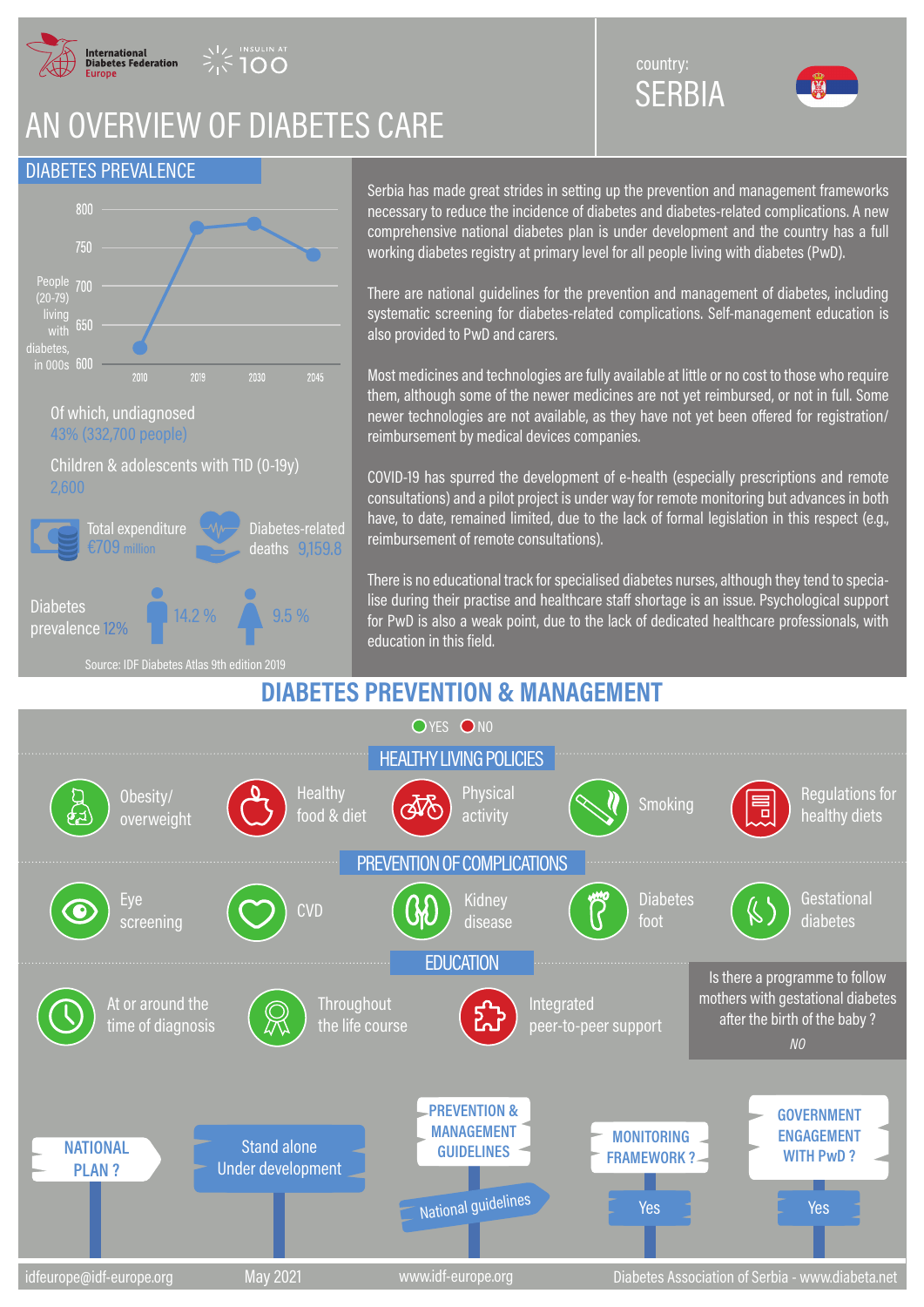

**INSULIN AT** 

# AN OVERVIEW OF DIABETES CARE

### DIABETES PREVALENCE



Serbia has made great strides in setting up the prevention and management frameworks necessary to reduce the incidence of diabetes and diabetes-related complications. A new comprehensive national diabetes plan is under development and the country has a full working diabetes registry at primary level for all people living with diabetes (PwD).

SERBIA

country:

There are national guidelines for the prevention and management of diabetes, including systematic screening for diabetes-related complications. Self-management education is also provided to PwD and carers.

Most medicines and technologies are fully available at little or no cost to those who require them, although some of the newer medicines are not yet reimbursed, or not in full. Some newer technologies are not available, as they have not yet been offered for registration/ reimbursement by medical devices companies.

COVID-19 has spurred the development of e-health (especially prescriptions and remote consultations) and a pilot project is under way for remote monitoring but advances in both have, to date, remained limited, due to the lack of formal legislation in this respect (e.g., reimbursement of remote consultations).

There is no educational track for specialised diabetes nurses, although they tend to specialise during their practise and healthcare staff shortage is an issue. Psychological support for PwD is also a weak point, due to the lack of dedicated healthcare professionals, with education in this field.

### **DIABETES PREVENTION & MANAGEMENT**



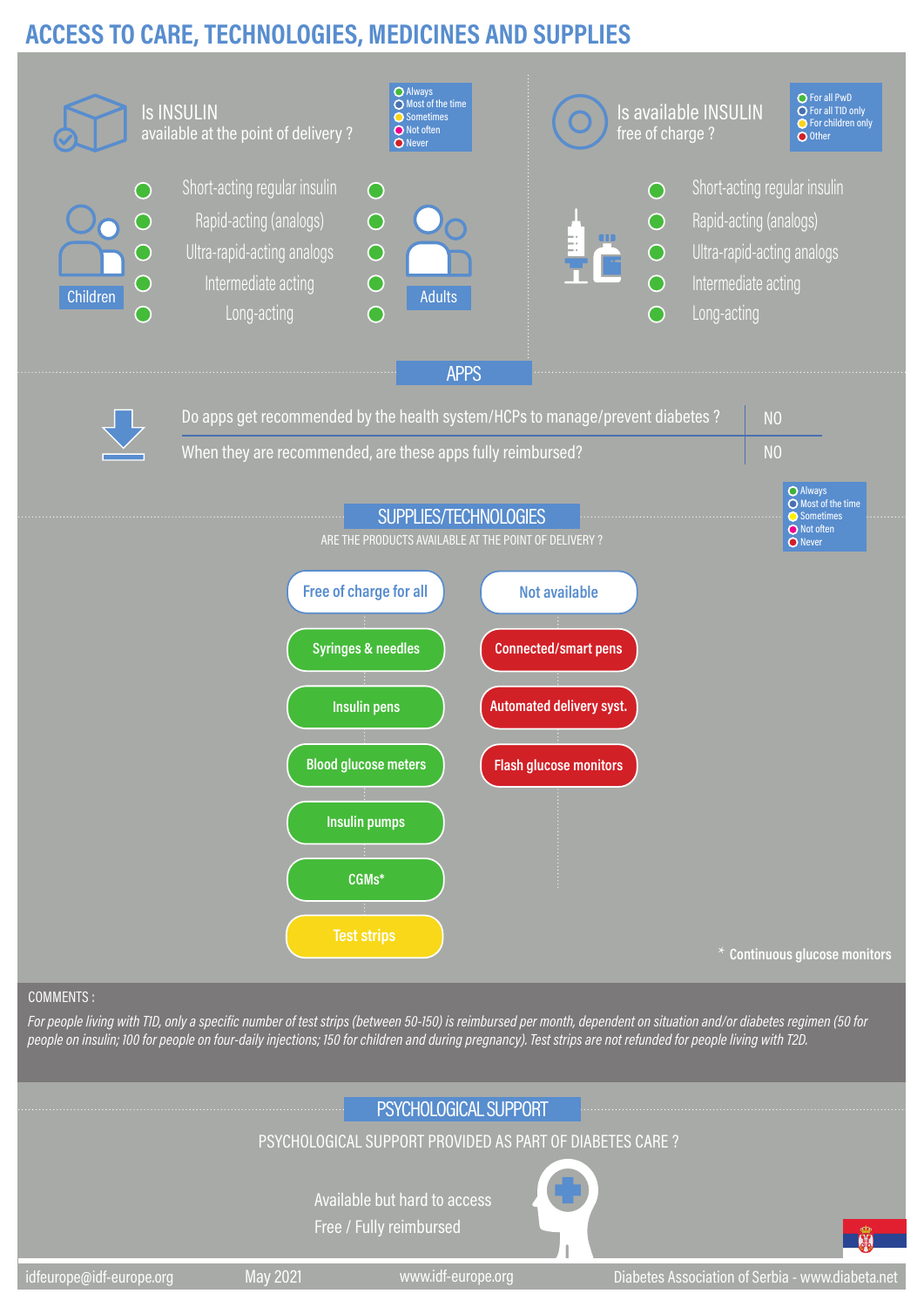## **ACCESS TO CARE, TECHNOLOGIES, MEDICINES AND SUPPLIES**



#### COMMENTS :

*For people living with T1D, only a specific number of test strips (between 50-150) is reimbursed per month, dependent on situation and/or diabetes regimen (50 for people on insulin; 100 for people on four-daily injections; 150 for children and during pregnancy). Test strips are not refunded for people living with T2D.*

### PSYCHOLOGICAL SUPPORT

### PSYCHOLOGICAL SUPPORT PROVIDED AS PART OF DIABETES CARE ?

Available but hard to access Free / Fully reimbursed



idfeurope@idf-europe.org May 2021 www.idf-europe.org Diabetes Association of Serbia - www.diabeta.net